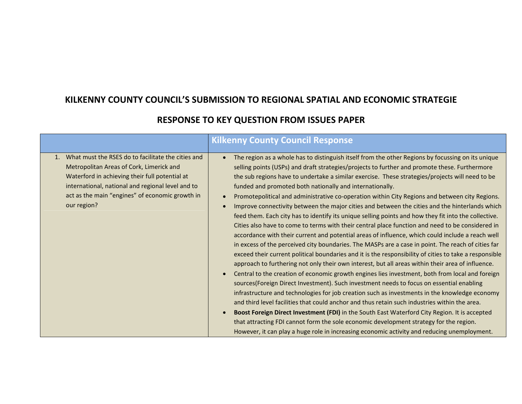## **KILKENNY COUNTY COUNCIL'S SUBMISSION TO REGIONAL SPATIAL AND ECONOMIC STRATEGIE**

|                                                                                                                                                                                                                                                                                    | <b>Kilkenny County Council Response</b>                                                                                                                                                                                                                                                                                                                                                                                                                                                                                                                                                                                                                                                                                                                                                                                                                                                                                                                                                                                                                                                                                                                                                                                                                                                                                                                                                                                                                                                                                                                                                                                                                                                                                                                                                                                                                                                               |
|------------------------------------------------------------------------------------------------------------------------------------------------------------------------------------------------------------------------------------------------------------------------------------|-------------------------------------------------------------------------------------------------------------------------------------------------------------------------------------------------------------------------------------------------------------------------------------------------------------------------------------------------------------------------------------------------------------------------------------------------------------------------------------------------------------------------------------------------------------------------------------------------------------------------------------------------------------------------------------------------------------------------------------------------------------------------------------------------------------------------------------------------------------------------------------------------------------------------------------------------------------------------------------------------------------------------------------------------------------------------------------------------------------------------------------------------------------------------------------------------------------------------------------------------------------------------------------------------------------------------------------------------------------------------------------------------------------------------------------------------------------------------------------------------------------------------------------------------------------------------------------------------------------------------------------------------------------------------------------------------------------------------------------------------------------------------------------------------------------------------------------------------------------------------------------------------------|
| What must the RSES do to facilitate the cities and<br>$1_{-}$<br>Metropolitan Areas of Cork, Limerick and<br>Waterford in achieving their full potential at<br>international, national and regional level and to<br>act as the main "engines" of economic growth in<br>our region? | The region as a whole has to distinguish itself from the other Regions by focussing on its unique<br>selling points (USPs) and draft strategies/projects to further and promote these. Furthermore<br>the sub regions have to undertake a similar exercise. These strategies/projects will need to be<br>funded and promoted both nationally and internationally.<br>Promotepolitical and administrative co-operation within City Regions and between city Regions.<br>Improve connectivity between the major cities and between the cities and the hinterlands which<br>feed them. Each city has to identify its unique selling points and how they fit into the collective.<br>Cities also have to come to terms with their central place function and need to be considered in<br>accordance with their current and potential areas of influence, which could include a reach well<br>in excess of the perceived city boundaries. The MASPs are a case in point. The reach of cities far<br>exceed their current political boundaries and it is the responsibility of cities to take a responsible<br>approach to furthering not only their own interest, but all areas within their area of influence.<br>Central to the creation of economic growth engines lies investment, both from local and foreign<br>sources(Foreign Direct Investment). Such investment needs to focus on essential enabling<br>infrastructure and technologies for job creation such as investments in the knowledge economy<br>and third level facilities that could anchor and thus retain such industries within the area.<br>Boost Foreign Direct Investment (FDI) in the South East Waterford City Region. It is accepted<br>that attracting FDI cannot form the sole economic development strategy for the region.<br>However, it can play a huge role in increasing economic activity and reducing unemployment. |

## **RESPONSE TO KEY QUESTION FROM ISSUES PAPER**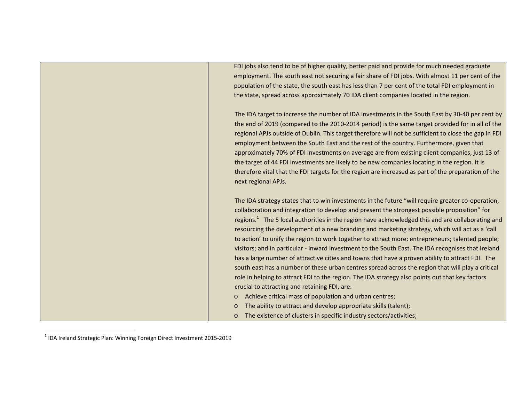FDI jobs also tend to be of higher quality, better paid and provide for much needed graduate employment. The south east not securing <sup>a</sup> fair share of FDI jobs. With almost 11 per cent of the population of the state, the south east has less than 7 per cent of the total FDI employment in the state, spread across approximately 70 IDA client companies located in the region. The IDA target to increase the number of IDA investments in the South East by 30‐40 per cent by the end of 2019 (compared to the 2010‐2014 period) is the same target provided for in all of the regional APJs outside of Dublin. This target therefore will not be sufficient to close the gap in FDI employment between the South East and the rest of the country. Furthermore, given that approximately 70% of FDI investments on average are from existing client companies, just 13 of the target of 44 FDI investments are likely to be new companies locating in the region. It is therefore vital that the FDI targets for the region are increased as part of the preparation of the next regional APJs. The IDA strategy states that to win investments in the future "will require greater co‐operation, collaboration and integration to develop and present the strongest possible proposition" for regions.<sup>1</sup> The 5 local authorities in the region have acknowledged this and are collaborating and resourcing the development of <sup>a</sup> new branding and marketing strategy, which will act as <sup>a</sup> 'call to action' to unify the region to work together to attract more: entrepreneurs; talented people; visitors; and in particular ‐ inward investment to the South East. The IDA recognises that Ireland has a large number of attractive cities and towns that have <sup>a</sup> proven ability to attract FDI. The south east has <sup>a</sup> number of these urban centres spread across the region that will play <sup>a</sup> critical role in helping to attract FDI to the region. The IDA strategy also points out that key factors crucial to attracting and retaining FDI, are: o Achieve critical mass of population and urban centres; o The ability to attract and develop appropriate skills (talent); o The existence of clusters in specific industry sectors/activities;

 $<sup>1</sup>$  IDA Ireland Strategic Plan: Winning Foreign Direct Investment 2015-2019</sup>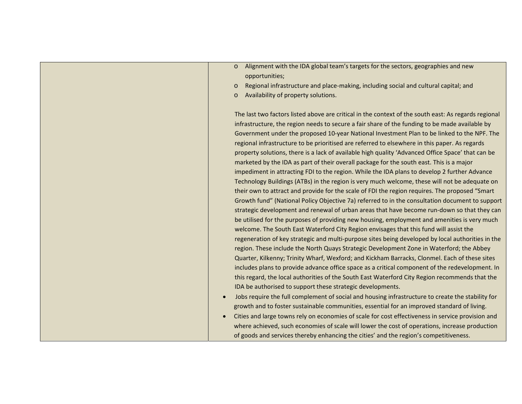- o Alignment with the IDA global team's targets for the sectors, geographies and new opportunities;
- o Regional infrastructure and place‐making, including social and cultural capital; and
- oAvailability of property solutions.

The last two factors listed above are critical in the context of the south east: As regards regional infrastructure, the region needs to secure <sup>a</sup> fair share of the funding to be made available by Government under the proposed 10‐year National Investment Plan to be linked to the NPF. The regional infrastructure to be prioritised are referred to elsewhere in this paper. As regards property solutions, there is <sup>a</sup> lack of available high quality 'Advanced Office Space' that can be marketed by the IDA as part of their overall package for the south east. This is <sup>a</sup> major impediment in attracting FDI to the region. While the IDA plans to develop 2 further Advance Technology Buildings (ATBs) in the region is very much welcome, these will not be adequate on their own to attract and provide for the scale of FDI the region requires. The proposed "Smart Growth fund" (National Policy Objective 7a) referred to in the consultation document to support strategic development and renewal of urban areas that have become run‐down so that they can be utilised for the purposes of providing new housing, employment and amenities is very much welcome. The South East Waterford City Region envisages that this fund will assist the regeneration of key strategic and multi‐purpose sites being developed by local authorities in the region. These include the North Quays Strategic Development Zone in Waterford; the Abbey Quarter, Kilkenny; Trinity Wharf, Wexford; and Kickham Barracks, Clonmel. Each of these sites includes plans to provide advance office space as <sup>a</sup> critical component of the redevelopment. In this regard, the local authorities of the South East Waterford City Region recommends that the IDA be authorised to support these strategic developments.

- Jobs require the full complement of social and housing infrastructure to create the stability for growth and to foster sustainable communities, essential for an improved standard of living.
- 0 • Cities and large towns rely on economies of scale for cost effectiveness in service provision and where achieved, such economies of scale will lower the cost of operations, increase production of goods and services thereby enhancing the cities' and the region's competitiveness.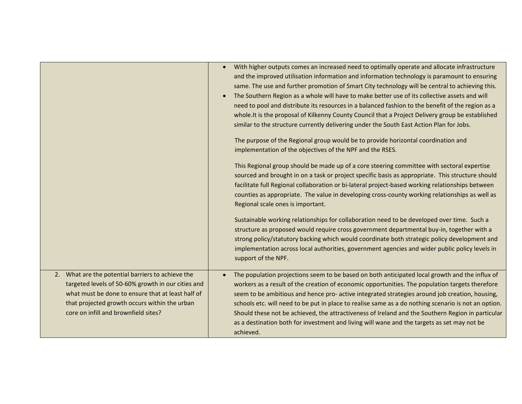|                                                                                                                                                                                                                                                       | With higher outputs comes an increased need to optimally operate and allocate infrastructure<br>and the improved utilisation information and information technology is paramount to ensuring<br>same. The use and further promotion of Smart City technology will be central to achieving this.<br>The Southern Region as a whole will have to make better use of its collective assets and will<br>$\bullet$<br>need to pool and distribute its resources in a balanced fashion to the benefit of the region as a<br>whole. It is the proposal of Kilkenny County Council that a Project Delivery group be established<br>similar to the structure currently delivering under the South East Action Plan for Jobs.<br>The purpose of the Regional group would be to provide horizontal coordination and<br>implementation of the objectives of the NPF and the RSES.<br>This Regional group should be made up of a core steering committee with sectoral expertise<br>sourced and brought in on a task or project specific basis as appropriate. This structure should |
|-------------------------------------------------------------------------------------------------------------------------------------------------------------------------------------------------------------------------------------------------------|-------------------------------------------------------------------------------------------------------------------------------------------------------------------------------------------------------------------------------------------------------------------------------------------------------------------------------------------------------------------------------------------------------------------------------------------------------------------------------------------------------------------------------------------------------------------------------------------------------------------------------------------------------------------------------------------------------------------------------------------------------------------------------------------------------------------------------------------------------------------------------------------------------------------------------------------------------------------------------------------------------------------------------------------------------------------------|
|                                                                                                                                                                                                                                                       | facilitate full Regional collaboration or bi-lateral project-based working relationships between<br>counties as appropriate. The value in developing cross-county working relationships as well as<br>Regional scale ones is important.                                                                                                                                                                                                                                                                                                                                                                                                                                                                                                                                                                                                                                                                                                                                                                                                                                 |
|                                                                                                                                                                                                                                                       | Sustainable working relationships for collaboration need to be developed over time. Such a<br>structure as proposed would require cross government departmental buy-in, together with a<br>strong policy/statutory backing which would coordinate both strategic policy development and<br>implementation across local authorities, government agencies and wider public policy levels in<br>support of the NPF.                                                                                                                                                                                                                                                                                                                                                                                                                                                                                                                                                                                                                                                        |
| 2. What are the potential barriers to achieve the<br>targeted levels of 50-60% growth in our cities and<br>what must be done to ensure that at least half of<br>that projected growth occurs within the urban<br>core on infill and brownfield sites? | The population projections seem to be based on both anticipated local growth and the influx of<br>$\bullet$<br>workers as a result of the creation of economic opportunities. The population targets therefore<br>seem to be ambitious and hence pro- active integrated strategies around job creation, housing,<br>schools etc. will need to be put in place to realise same as a do nothing scenario is not an option.<br>Should these not be achieved, the attractiveness of Ireland and the Southern Region in particular<br>as a destination both for investment and living will wane and the targets as set may not be<br>achieved.                                                                                                                                                                                                                                                                                                                                                                                                                               |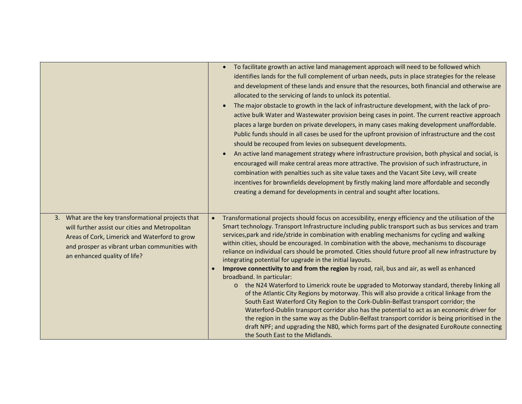|                                                                                                                                                                                                                                         | To facilitate growth an active land management approach will need to be followed which<br>identifies lands for the full complement of urban needs, puts in place strategies for the release<br>and development of these lands and ensure that the resources, both financial and otherwise are<br>allocated to the servicing of lands to unlock its potential.<br>The major obstacle to growth in the lack of infrastructure development, with the lack of pro-<br>active bulk Water and Wastewater provision being cases in point. The current reactive approach<br>places a large burden on private developers, in many cases making development unaffordable.<br>Public funds should in all cases be used for the upfront provision of infrastructure and the cost<br>should be recouped from levies on subsequent developments.<br>An active land management strategy where infrastructure provision, both physical and social, is<br>$\bullet$<br>encouraged will make central areas more attractive. The provision of such infrastructure, in<br>combination with penalties such as site value taxes and the Vacant Site Levy, will create<br>incentives for brownfields development by firstly making land more affordable and secondly<br>creating a demand for developments in central and sought after locations.                                    |
|-----------------------------------------------------------------------------------------------------------------------------------------------------------------------------------------------------------------------------------------|---------------------------------------------------------------------------------------------------------------------------------------------------------------------------------------------------------------------------------------------------------------------------------------------------------------------------------------------------------------------------------------------------------------------------------------------------------------------------------------------------------------------------------------------------------------------------------------------------------------------------------------------------------------------------------------------------------------------------------------------------------------------------------------------------------------------------------------------------------------------------------------------------------------------------------------------------------------------------------------------------------------------------------------------------------------------------------------------------------------------------------------------------------------------------------------------------------------------------------------------------------------------------------------------------------------------------------------------------------------|
| 3. What are the key transformational projects that<br>will further assist our cities and Metropolitan<br>Areas of Cork, Limerick and Waterford to grow<br>and prosper as vibrant urban communities with<br>an enhanced quality of life? | Transformational projects should focus on accessibility, energy efficiency and the utilisation of the<br>$\bullet$<br>Smart technology. Transport Infrastructure including public transport such as bus services and tram<br>services, park and ride/stride in combination with enabling mechanisms for cycling and walking<br>within cities, should be encouraged. In combination with the above, mechanisms to discourage<br>reliance on individual cars should be promoted. Cities should future proof all new infrastructure by<br>integrating potential for upgrade in the initial layouts.<br>Improve connectivity to and from the region by road, rail, bus and air, as well as enhanced<br>broadband. In particular:<br>the N24 Waterford to Limerick route be upgraded to Motorway standard, thereby linking all<br>$\circ$<br>of the Atlantic City Regions by motorway. This will also provide a critical linkage from the<br>South East Waterford City Region to the Cork-Dublin-Belfast transport corridor; the<br>Waterford-Dublin transport corridor also has the potential to act as an economic driver for<br>the region in the same way as the Dublin-Belfast transport corridor is being prioritised in the<br>draft NPF; and upgrading the N80, which forms part of the designated EuroRoute connecting<br>the South East to the Midlands. |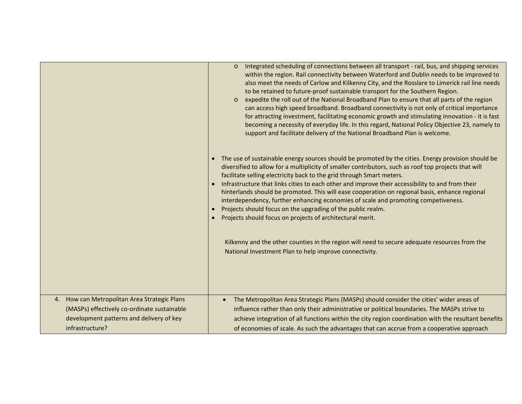|                                                                                                                                                            | Integrated scheduling of connections between all transport - rail, bus, and shipping services<br>$\circ$<br>within the region. Rail connectivity between Waterford and Dublin needs to be improved to<br>also meet the needs of Carlow and Kilkenny City, and the Rosslare to Limerick rail line needs<br>to be retained to future-proof sustainable transport for the Southern Region.<br>expedite the roll out of the National Broadband Plan to ensure that all parts of the region<br>$\circ$<br>can access high speed broadband. Broadband connectivity is not only of critical importance<br>for attracting investment, facilitating economic growth and stimulating innovation - it is fast<br>becoming a necessity of everyday life. In this regard, National Policy Objective 23, namely to<br>support and facilitate delivery of the National Broadband Plan is welcome. |
|------------------------------------------------------------------------------------------------------------------------------------------------------------|------------------------------------------------------------------------------------------------------------------------------------------------------------------------------------------------------------------------------------------------------------------------------------------------------------------------------------------------------------------------------------------------------------------------------------------------------------------------------------------------------------------------------------------------------------------------------------------------------------------------------------------------------------------------------------------------------------------------------------------------------------------------------------------------------------------------------------------------------------------------------------|
|                                                                                                                                                            | The use of sustainable energy sources should be promoted by the cities. Energy provision should be<br>diversified to allow for a multiplicity of smaller contributors, such as roof top projects that will<br>facilitate selling electricity back to the grid through Smart meters.<br>Infrastructure that links cities to each other and improve their accessibility to and from their<br>hinterlands should be promoted. This will ease cooperation on regional basis, enhance regional<br>interdependency, further enhancing economies of scale and promoting competiveness.<br>Projects should focus on the upgrading of the public realm.<br>Projects should focus on projects of architectural merit.                                                                                                                                                                        |
|                                                                                                                                                            | Kilkenny and the other counties in the region will need to secure adequate resources from the<br>National Investment Plan to help improve connectivity.                                                                                                                                                                                                                                                                                                                                                                                                                                                                                                                                                                                                                                                                                                                            |
| 4. How can Metropolitan Area Strategic Plans<br>(MASPs) effectively co-ordinate sustainable<br>development patterns and delivery of key<br>infrastructure? | The Metropolitan Area Strategic Plans (MASPs) should consider the cities' wider areas of<br>influence rather than only their administrative or political boundaries. The MASPs strive to<br>achieve integration of all functions within the city region coordination with the resultant benefits<br>of economies of scale. As such the advantages that can accrue from a cooperative approach                                                                                                                                                                                                                                                                                                                                                                                                                                                                                      |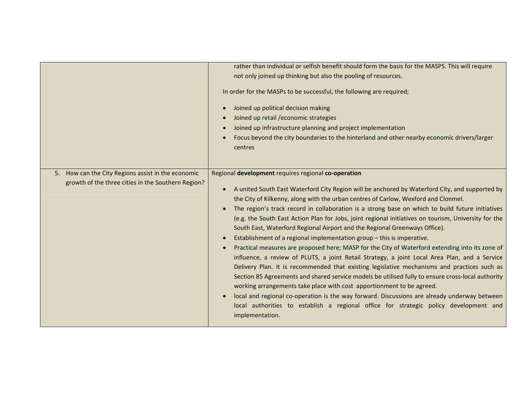|                                                                                                          | rather than individual or selfish benefit should form the basis for the MASPS. This will require<br>not only joined up thinking but also the pooling of resources.<br>In order for the MASPs to be successful, the following are required;<br>Joined up political decision making<br>Joined up retail / economic strategies<br>Joined up infrastructure planning and project implementation<br>Focus beyond the city boundaries to the hinterland and other nearby economic drivers/larger<br>centres                                                                                                                                                                                                                                                                                                                                                                                                                                                                                                                                                                                                                                                                                                                                                                                                                     |
|----------------------------------------------------------------------------------------------------------|---------------------------------------------------------------------------------------------------------------------------------------------------------------------------------------------------------------------------------------------------------------------------------------------------------------------------------------------------------------------------------------------------------------------------------------------------------------------------------------------------------------------------------------------------------------------------------------------------------------------------------------------------------------------------------------------------------------------------------------------------------------------------------------------------------------------------------------------------------------------------------------------------------------------------------------------------------------------------------------------------------------------------------------------------------------------------------------------------------------------------------------------------------------------------------------------------------------------------------------------------------------------------------------------------------------------------|
| 5. How can the City Regions assist in the economic<br>growth of the three cities in the Southern Region? | Regional development requires regional co-operation<br>A united South East Waterford City Region will be anchored by Waterford City, and supported by<br>$\bullet$<br>the City of Kilkenny, along with the urban centres of Carlow, Wexford and Clonmel.<br>The region's track record in collaboration is a strong base on which to build future initiatives<br>(e.g. the South East Action Plan for Jobs, joint regional initiatives on tourism, University for the<br>South East, Waterford Regional Airport and the Regional Greenways Office).<br>Establishment of a regional implementation group - this is imperative.<br>Practical measures are proposed here; MASP for the City of Waterford extending into its zone of<br>influence, a review of PLUTS, a joint Retail Strategy, a joint Local Area Plan, and a Service<br>Delivery Plan. It is recommended that existing legislative mechanisms and practices such as<br>Section 85 Agreements and shared service models be utilised fully to ensure cross-local authority<br>working arrangements take place with cost apportionment to be agreed.<br>local and regional co-operation is the way forward. Discussions are already underway between<br>local authorities to establish a regional office for strategic policy development and<br>implementation. |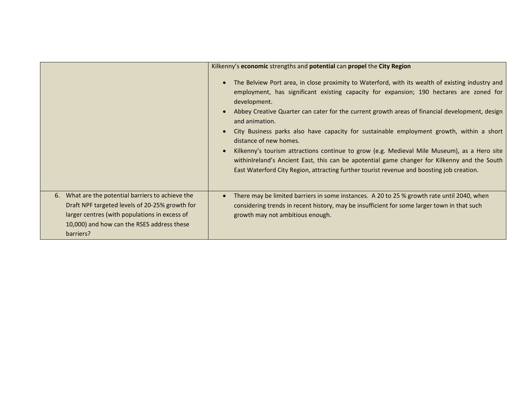|                                                                                                                                                                                                                 | Kilkenny's economic strengths and potential can propel the City Region                                                                                                                                                                                                                                                                                                                                                                                                                                                                                                                                                                                                                                                                            |
|-----------------------------------------------------------------------------------------------------------------------------------------------------------------------------------------------------------------|---------------------------------------------------------------------------------------------------------------------------------------------------------------------------------------------------------------------------------------------------------------------------------------------------------------------------------------------------------------------------------------------------------------------------------------------------------------------------------------------------------------------------------------------------------------------------------------------------------------------------------------------------------------------------------------------------------------------------------------------------|
|                                                                                                                                                                                                                 | The Belview Port area, in close proximity to Waterford, with its wealth of existing industry and<br>employment, has significant existing capacity for expansion; 190 hectares are zoned for<br>development.<br>Abbey Creative Quarter can cater for the current growth areas of financial development, design<br>and animation.<br>City Business parks also have capacity for sustainable employment growth, within a short<br>distance of new homes.<br>Kilkenny's tourism attractions continue to grow (e.g. Medieval Mile Museum), as a Hero site<br>withinIreland's Ancient East, this can be apotential game changer for Kilkenny and the South<br>East Waterford City Region, attracting further tourist revenue and boosting job creation. |
| 6. What are the potential barriers to achieve the<br>Draft NPF targeted levels of 20-25% growth for<br>larger centres (with populations in excess of<br>10,000) and how can the RSES address these<br>barriers? | There may be limited barriers in some instances. A 20 to 25 % growth rate until 2040, when<br>considering trends in recent history, may be insufficient for some larger town in that such<br>growth may not ambitious enough.                                                                                                                                                                                                                                                                                                                                                                                                                                                                                                                     |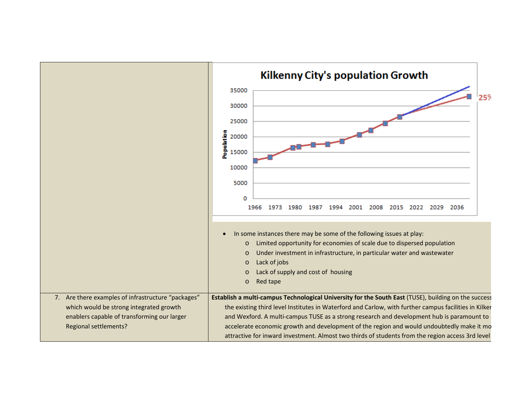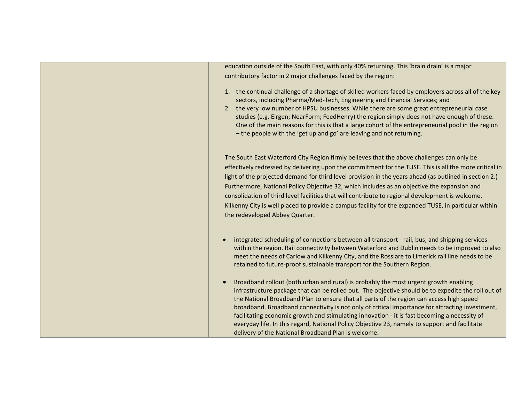education outside of the South East, with only 40% returning. This 'brain drain' is <sup>a</sup> major contributory factor in 2 major challenges faced by the region:

- 1. the continual challenge of <sup>a</sup> shortage of skilled workers faced by employers across all of the key sectors, including Pharma/Med-Tech, Engineering and Financial Services; and
- 2. the very low number of HPSU businesses. While there are some great entrepreneurial case studies (e.g. Eirgen; NearForm; FeedHenry) the region simply does not have enough of these. One of the main reasons for this is that <sup>a</sup> large cohort of the entrepreneurial pool in the region – the people with the 'get up and go' are leaving and not returning.

The South East Waterford City Region firmly believes that the above challenges can only be effectively redressed by delivering upon the commitment for the TUSE. This is all the more critical in light of the projected demand for third level provision in the years ahead (as outlined in section 2.) Furthermore, National Policy Objective 32, which includes as an objective the expansion and consolidation of third level facilities that will contribute to regional development is welcome. Kilkenny City is well placed to provide <sup>a</sup> campus facility for the expanded TUSE, in particular within the redeveloped Abbey Quarter.

- 0 integrated scheduling of connections between all transport ‐ rail, bus, and shipping services within the region. Rail connectivity between Waterford and Dublin needs to be improved to also meet the needs of Carlow and Kilkenny City, and the Rosslare to Limerick rail line needs to be retained to future‐proof sustainable transport for the Southern Region.
- O • Broadband rollout (both urban and rural) is probably the most urgent growth enabling infrastructure package that can be rolled out. The objective should be to expedite the roll out of the National Broadband Plan to ensure that all parts of the region can access high speed broadband. Broadband connectivity is not only of critical importance for attracting investment, facilitating economic growth and stimulating innovation ‐ it is fast becoming <sup>a</sup> necessity of everyday life. In this regard, National Policy Objective 23, namely to support and facilitate delivery of the National Broadband Plan is welcome.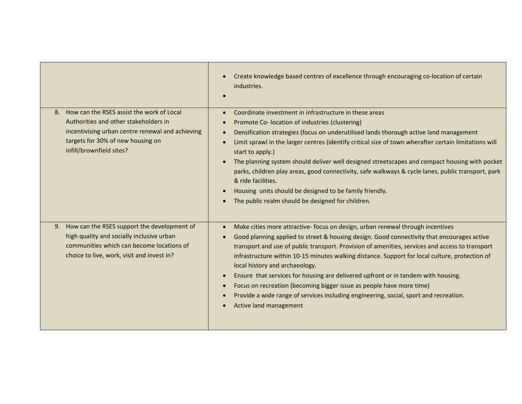|                                                                                                                                                                                                               | Create knowledge based centres of excellence through encouraging co-location of certain<br>industries.                                                                                                                                                                                                                                                                                                                                                                                                                                                                                                                                                                                                                                     |
|---------------------------------------------------------------------------------------------------------------------------------------------------------------------------------------------------------------|--------------------------------------------------------------------------------------------------------------------------------------------------------------------------------------------------------------------------------------------------------------------------------------------------------------------------------------------------------------------------------------------------------------------------------------------------------------------------------------------------------------------------------------------------------------------------------------------------------------------------------------------------------------------------------------------------------------------------------------------|
| How can the RSES assist the work of Local<br>8.<br>Authorities and other stakeholders in<br>incentivising urban centre renewal and achieving<br>targets for 30% of new housing on<br>infill/brownfield sites? | Coordinate investment in infrastructure in these areas<br>$\bullet$<br>Promote Co- location of industries (clustering)<br>Densification strategies (focus on underutilised lands thorough active land management<br>Limit sprawl in the larger centres (identify critical size of town wherafter certain limitations will<br>start to apply.)<br>The planning system should deliver well designed streetscapes and compact housing with pocket<br>parks, children play areas, good connectivity, safe walkways & cycle lanes, public transport, park<br>& ride facilities.<br>Housing units should be designed to be family friendly.<br>$\bullet$<br>The public realm should be designed for children.                                    |
| 9. How can the RSES support the development of<br>high quality and socially inclusive urban<br>communities which can become locations of<br>choice to live, work, visit and invest in?                        | Make cities more attractive- focus on design, urban renewal through incentives<br>$\bullet$<br>Good planning applied to street & housing design. Good connectivity that encourages active<br>transport and use of public transport. Provision of amenities, services and access to transport<br>infrastructure within 10-15 minutes walking distance. Support for local culture, protection of<br>local history and archaeology.<br>Ensure that services for housing are delivered upfront or in tandem with housing.<br>$\bullet$<br>Focus on recreation (becoming bigger issue as people have more time)<br>$\bullet$<br>Provide a wide range of services including engineering, social, sport and recreation.<br>Active land management |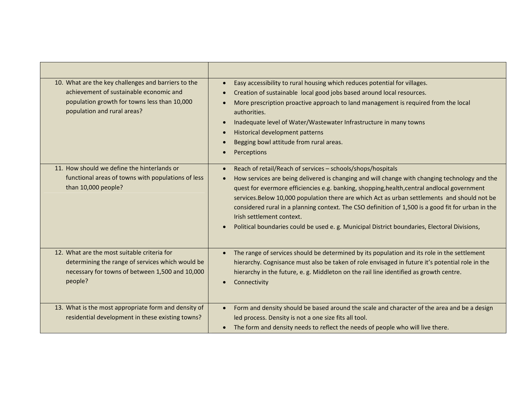| 10. What are the key challenges and barriers to the<br>achievement of sustainable economic and<br>population growth for towns less than 10,000<br>population and rural areas? | Easy accessibility to rural housing which reduces potential for villages.<br>$\bullet$<br>Creation of sustainable local good jobs based around local resources.<br>$\bullet$<br>More prescription proactive approach to land management is required from the local<br>$\bullet$<br>authorities.<br>Inadequate level of Water/Wastewater Infrastructure in many towns<br>$\bullet$<br>Historical development patterns<br>$\bullet$<br>Begging bowl attitude from rural areas.<br>$\bullet$<br>Perceptions                                                                                                                 |
|-------------------------------------------------------------------------------------------------------------------------------------------------------------------------------|--------------------------------------------------------------------------------------------------------------------------------------------------------------------------------------------------------------------------------------------------------------------------------------------------------------------------------------------------------------------------------------------------------------------------------------------------------------------------------------------------------------------------------------------------------------------------------------------------------------------------|
| 11. How should we define the hinterlands or<br>functional areas of towns with populations of less<br>than 10,000 people?                                                      | Reach of retail/Reach of services - schools/shops/hospitals<br>$\bullet$<br>How services are being delivered is changing and will change with changing technology and the<br>$\bullet$<br>quest for evermore efficiencies e.g. banking, shopping, health, central andlocal government<br>services. Below 10,000 population there are which Act as urban settlements and should not be<br>considered rural in a planning context. The CSO definition of 1,500 is a good fit for urban in the<br>Irish settlement context.<br>Political boundaries could be used e. g. Municipal District boundaries, Electoral Divisions, |
| 12. What are the most suitable criteria for<br>determining the range of services which would be<br>necessary for towns of between 1,500 and 10,000<br>people?                 | The range of services should be determined by its population and its role in the settlement<br>$\bullet$<br>hierarchy. Cognisance must also be taken of role envisaged in future it's potential role in the<br>hierarchy in the future, e. g. Middleton on the rail line identified as growth centre.<br>Connectivity<br>$\bullet$                                                                                                                                                                                                                                                                                       |
| 13. What is the most appropriate form and density of<br>residential development in these existing towns?                                                                      | Form and density should be based around the scale and character of the area and be a design<br>$\bullet$<br>led process. Density is not a one size fits all tool.<br>The form and density needs to reflect the needs of people who will live there.                                                                                                                                                                                                                                                                                                                                                                      |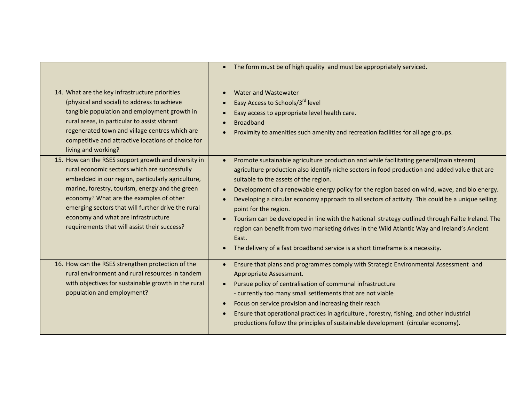|                                                                                                                                                                                                                                                                                                                                                                                                       | The form must be of high quality and must be appropriately serviced.                                                                                                                                                                                                                                                                                                                                                                                                                                                                                                                                                                                                                                                                                                                                |
|-------------------------------------------------------------------------------------------------------------------------------------------------------------------------------------------------------------------------------------------------------------------------------------------------------------------------------------------------------------------------------------------------------|-----------------------------------------------------------------------------------------------------------------------------------------------------------------------------------------------------------------------------------------------------------------------------------------------------------------------------------------------------------------------------------------------------------------------------------------------------------------------------------------------------------------------------------------------------------------------------------------------------------------------------------------------------------------------------------------------------------------------------------------------------------------------------------------------------|
| 14. What are the key infrastructure priorities<br>(physical and social) to address to achieve<br>tangible population and employment growth in<br>rural areas, in particular to assist vibrant<br>regenerated town and village centres which are<br>competitive and attractive locations of choice for<br>living and working?                                                                          | Water and Wastewater<br>Easy Access to Schools/3rd level<br>Easy access to appropriate level health care.<br>$\bullet$<br><b>Broadband</b><br>Proximity to amenities such amenity and recreation facilities for all age groups.                                                                                                                                                                                                                                                                                                                                                                                                                                                                                                                                                                     |
| 15. How can the RSES support growth and diversity in<br>rural economic sectors which are successfully<br>embedded in our region, particularly agriculture,<br>marine, forestry, tourism, energy and the green<br>economy? What are the examples of other<br>emerging sectors that will further drive the rural<br>economy and what are infrastructure<br>requirements that will assist their success? | Promote sustainable agriculture production and while facilitating general(main stream)<br>$\bullet$<br>agriculture production also identify niche sectors in food production and added value that are<br>suitable to the assets of the region.<br>Development of a renewable energy policy for the region based on wind, wave, and bio energy.<br>Developing a circular economy approach to all sectors of activity. This could be a unique selling<br>$\bullet$<br>point for the region.<br>Tourism can be developed in line with the National strategy outlined through Failte Ireland. The<br>region can benefit from two marketing drives in the Wild Atlantic Way and Ireland's Ancient<br>East.<br>The delivery of a fast broadband service is a short timeframe is a necessity.<br>$\bullet$ |
| 16. How can the RSES strengthen protection of the<br>rural environment and rural resources in tandem<br>with objectives for sustainable growth in the rural<br>population and employment?                                                                                                                                                                                                             | Ensure that plans and programmes comply with Strategic Environmental Assessment and<br>Appropriate Assessment.<br>Pursue policy of centralisation of communal infrastructure<br>- currently too many small settlements that are not viable<br>Focus on service provision and increasing their reach<br>$\bullet$<br>Ensure that operational practices in agriculture, forestry, fishing, and other industrial<br>$\bullet$<br>productions follow the principles of sustainable development (circular economy).                                                                                                                                                                                                                                                                                      |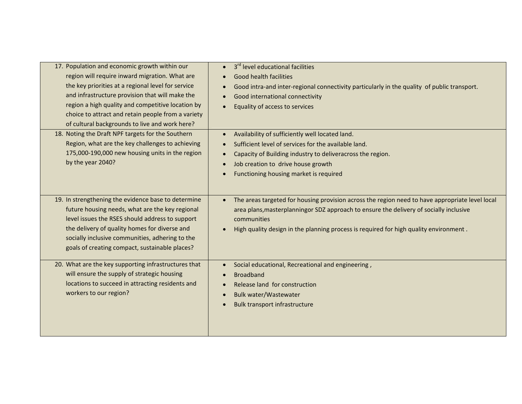| 17. Population and economic growth within our<br>region will require inward migration. What are<br>the key priorities at a regional level for service<br>and infrastructure provision that will make the<br>region a high quality and competitive location by<br>choice to attract and retain people from a variety<br>of cultural backgrounds to live and work here? | 3rd level educational facilities<br>$\bullet$<br><b>Good health facilities</b><br>$\bullet$<br>Good intra-and inter-regional connectivity particularly in the quality of public transport.<br>Good international connectivity<br>Equality of access to services<br>$\bullet$                                   |
|-----------------------------------------------------------------------------------------------------------------------------------------------------------------------------------------------------------------------------------------------------------------------------------------------------------------------------------------------------------------------|----------------------------------------------------------------------------------------------------------------------------------------------------------------------------------------------------------------------------------------------------------------------------------------------------------------|
| 18. Noting the Draft NPF targets for the Southern<br>Region, what are the key challenges to achieving<br>175,000-190,000 new housing units in the region<br>by the year 2040?                                                                                                                                                                                         | Availability of sufficiently well located land.<br>$\bullet$<br>Sufficient level of services for the available land.<br>Capacity of Building industry to deliveracross the region.<br>Job creation to drive house growth<br>$\bullet$<br>Functioning housing market is required<br>$\bullet$                   |
| 19. In strengthening the evidence base to determine<br>future housing needs, what are the key regional<br>level issues the RSES should address to support<br>the delivery of quality homes for diverse and<br>socially inclusive communities, adhering to the<br>goals of creating compact, sustainable places?                                                       | The areas targeted for housing provision across the region need to have appropriate level local<br>$\bullet$<br>area plans, masterplanningor SDZ approach to ensure the delivery of socially inclusive<br>communities<br>High quality design in the planning process is required for high quality environment. |
| 20. What are the key supporting infrastructures that<br>will ensure the supply of strategic housing<br>locations to succeed in attracting residents and<br>workers to our region?                                                                                                                                                                                     | Social educational, Recreational and engineering,<br>$\bullet$<br><b>Broadband</b><br>Release land for construction<br>$\bullet$<br><b>Bulk water/Wastewater</b><br>Bulk transport infrastructure                                                                                                              |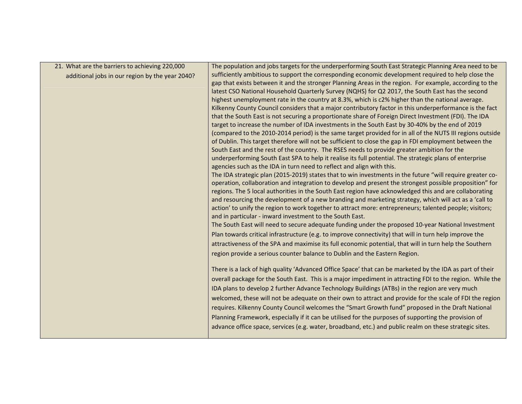| 21. What are the barriers to achieving 220,000  | The population and jobs targets for the underperforming South East Strategic Planning Area need to be     |
|-------------------------------------------------|-----------------------------------------------------------------------------------------------------------|
|                                                 | sufficiently ambitious to support the corresponding economic development required to help close the       |
| additional jobs in our region by the year 2040? | gap that exists between it and the stronger Planning Areas in the region. For example, according to the   |
|                                                 | latest CSO National Household Quarterly Survey (NQHS) for Q2 2017, the South East has the second          |
|                                                 | highest unemployment rate in the country at 8.3%, which is c2% higher than the national average.          |
|                                                 | Kilkenny County Council considers that a major contributory factor in this underperformance is the fact   |
|                                                 |                                                                                                           |
|                                                 | that the South East is not securing a proportionate share of Foreign Direct Investment (FDI). The IDA     |
|                                                 | target to increase the number of IDA investments in the South East by 30-40% by the end of 2019           |
|                                                 | (compared to the 2010-2014 period) is the same target provided for in all of the NUTS III regions outside |
|                                                 | of Dublin. This target therefore will not be sufficient to close the gap in FDI employment between the    |
|                                                 | South East and the rest of the country. The RSES needs to provide greater ambition for the                |
|                                                 | underperforming South East SPA to help it realise its full potential. The strategic plans of enterprise   |
|                                                 | agencies such as the IDA in turn need to reflect and align with this.                                     |
|                                                 | The IDA strategic plan (2015-2019) states that to win investments in the future "will require greater co- |
|                                                 | operation, collaboration and integration to develop and present the strongest possible proposition" for   |
|                                                 | regions. The 5 local authorities in the South East region have acknowledged this and are collaborating    |
|                                                 | and resourcing the development of a new branding and marketing strategy, which will act as a 'call to     |
|                                                 | action' to unify the region to work together to attract more: entrepreneurs; talented people; visitors;   |
|                                                 | and in particular - inward investment to the South East.                                                  |
|                                                 | The South East will need to secure adequate funding under the proposed 10-year National Investment        |
|                                                 | Plan towards critical infrastructure (e.g. to improve connectivity) that will in turn help improve the    |
|                                                 | attractiveness of the SPA and maximise its full economic potential, that will in turn help the Southern   |
|                                                 | region provide a serious counter balance to Dublin and the Eastern Region.                                |
|                                                 |                                                                                                           |
|                                                 | There is a lack of high quality 'Advanced Office Space' that can be marketed by the IDA as part of their  |
|                                                 | overall package for the South East. This is a major impediment in attracting FDI to the region. While the |
|                                                 | IDA plans to develop 2 further Advance Technology Buildings (ATBs) in the region are very much            |
|                                                 | welcomed, these will not be adequate on their own to attract and provide for the scale of FDI the region  |
|                                                 |                                                                                                           |
|                                                 | requires. Kilkenny County Council welcomes the "Smart Growth fund" proposed in the Draft National         |
|                                                 | Planning Framework, especially if it can be utilised for the purposes of supporting the provision of      |
|                                                 | advance office space, services (e.g. water, broadband, etc.) and public realm on these strategic sites.   |
|                                                 |                                                                                                           |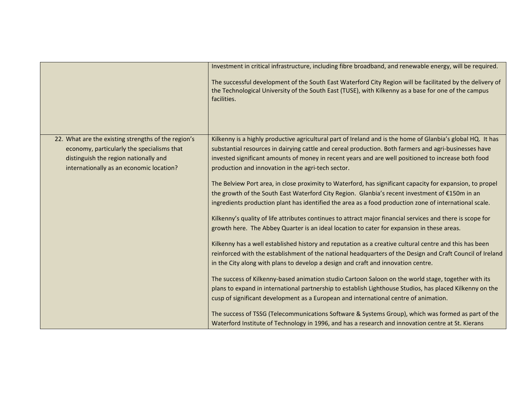|                                                     | Investment in critical infrastructure, including fibre broadband, and renewable energy, will be required.                                                                                                                        |
|-----------------------------------------------------|----------------------------------------------------------------------------------------------------------------------------------------------------------------------------------------------------------------------------------|
|                                                     | The successful development of the South East Waterford City Region will be facilitated by the delivery of<br>the Technological University of the South East (TUSE), with Kilkenny as a base for one of the campus<br>facilities. |
| 22. What are the existing strengths of the region's | Kilkenny is a highly productive agricultural part of Ireland and is the home of Glanbia's global HQ. It has                                                                                                                      |
| economy, particularly the specialisms that          | substantial resources in dairying cattle and cereal production. Both farmers and agri-businesses have                                                                                                                            |
| distinguish the region nationally and               | invested significant amounts of money in recent years and are well positioned to increase both food                                                                                                                              |
| internationally as an economic location?            | production and innovation in the agri-tech sector.                                                                                                                                                                               |
|                                                     | The Belview Port area, in close proximity to Waterford, has significant capacity for expansion, to propel                                                                                                                        |
|                                                     | the growth of the South East Waterford City Region. Glanbia's recent investment of €150m in an                                                                                                                                   |
|                                                     | ingredients production plant has identified the area as a food production zone of international scale.                                                                                                                           |
|                                                     | Kilkenny's quality of life attributes continues to attract major financial services and there is scope for                                                                                                                       |
|                                                     | growth here. The Abbey Quarter is an ideal location to cater for expansion in these areas.                                                                                                                                       |
|                                                     | Kilkenny has a well established history and reputation as a creative cultural centre and this has been                                                                                                                           |
|                                                     | reinforced with the establishment of the national headquarters of the Design and Craft Council of Ireland                                                                                                                        |
|                                                     | in the City along with plans to develop a design and craft and innovation centre.                                                                                                                                                |
|                                                     | The success of Kilkenny-based animation studio Cartoon Saloon on the world stage, together with its                                                                                                                              |
|                                                     | plans to expand in international partnership to establish Lighthouse Studios, has placed Kilkenny on the                                                                                                                         |
|                                                     | cusp of significant development as a European and international centre of animation.                                                                                                                                             |
|                                                     | The success of TSSG (Telecommunications Software & Systems Group), which was formed as part of the                                                                                                                               |
|                                                     | Waterford Institute of Technology in 1996, and has a research and innovation centre at St. Kierans                                                                                                                               |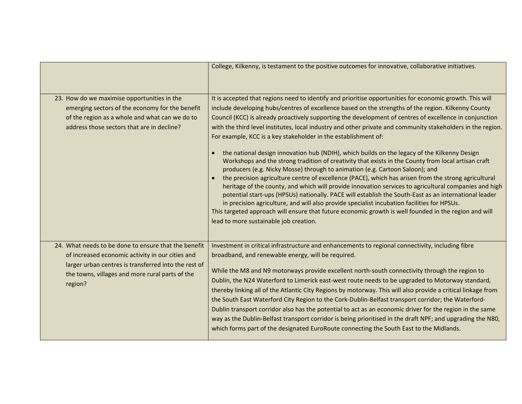|                                                                                                                                                                                                                                | College, Kilkenny, is testament to the positive outcomes for innovative, collaborative initiatives.                                                                                                                                                                                                                                                                                                                                                                                                                                                                                                                                                                                                                                                                                                                                                                                                                                                                                                                                                                                                                                                                                                                                                                                                                                                                            |
|--------------------------------------------------------------------------------------------------------------------------------------------------------------------------------------------------------------------------------|--------------------------------------------------------------------------------------------------------------------------------------------------------------------------------------------------------------------------------------------------------------------------------------------------------------------------------------------------------------------------------------------------------------------------------------------------------------------------------------------------------------------------------------------------------------------------------------------------------------------------------------------------------------------------------------------------------------------------------------------------------------------------------------------------------------------------------------------------------------------------------------------------------------------------------------------------------------------------------------------------------------------------------------------------------------------------------------------------------------------------------------------------------------------------------------------------------------------------------------------------------------------------------------------------------------------------------------------------------------------------------|
| 23. How do we maximise opportunities in the<br>emerging sectors of the economy for the benefit<br>of the region as a whole and what can we do to<br>address those sectors that are in decline?                                 | It is accepted that regions need to identify and prioritise opportunities for economic growth. This will<br>include developing hubs/centres of excellence based on the strengths of the region. Kilkenny County<br>Council (KCC) is already proactively supporting the development of centres of excellence in conjunction<br>with the third level institutes, local industry and other private and community stakeholders in the region.<br>For example, KCC is a key stakeholder in the establishment of:<br>the national design innovation hub (NDIH), which builds on the legacy of the Kilkenny Design<br>Workshops and the strong tradition of creativity that exists in the County from local artisan craft<br>producers (e.g. Nicky Mosse) through to animation (e.g. Cartoon Saloon); and<br>the precision agriculture centre of excellence (PACE), which has arisen from the strong agricultural<br>heritage of the county, and which will provide innovation services to agricultural companies and high<br>potential start-ups (HPSUs) nationally. PACE will establish the South-East as an international leader<br>in precision agriculture, and will also provide specialist incubation facilities for HPSUs.<br>This targeted approach will ensure that future economic growth is well founded in the region and will<br>lead to more sustainable job creation. |
| 24. What needs to be done to ensure that the benefit<br>of increased economic activity in our cities and<br>larger urban centres is transferred into the rest of<br>the towns, villages and more rural parts of the<br>region? | Investment in critical infrastructure and enhancements to regional connectivity, including fibre<br>broadband, and renewable energy, will be required.<br>While the M8 and N9 motorways provide excellent north-south connectivity through the region to<br>Dublin, the N24 Waterford to Limerick east-west route needs to be upgraded to Motorway standard,<br>thereby linking all of the Atlantic City Regions by motorway. This will also provide a critical linkage from<br>the South East Waterford City Region to the Cork-Dublin-Belfast transport corridor; the Waterford-<br>Dublin transport corridor also has the potential to act as an economic driver for the region in the same<br>way as the Dublin-Belfast transport corridor is being prioritised in the draft NPF; and upgrading the N80,<br>which forms part of the designated EuroRoute connecting the South East to the Midlands.                                                                                                                                                                                                                                                                                                                                                                                                                                                                        |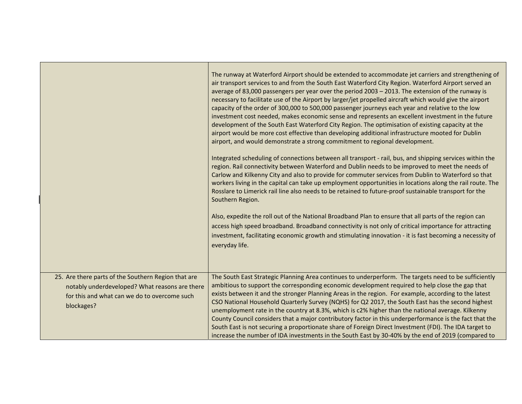|                                                                                                                                                                     | The runway at Waterford Airport should be extended to accommodate jet carriers and strengthening of<br>air transport services to and from the South East Waterford City Region. Waterford Airport served an<br>average of 83,000 passengers per year over the period 2003 - 2013. The extension of the runway is<br>necessary to facilitate use of the Airport by larger/jet propelled aircraft which would give the airport<br>capacity of the order of 300,000 to 500,000 passenger journeys each year and relative to the low<br>investment cost needed, makes economic sense and represents an excellent investment in the future<br>development of the South East Waterford City Region. The optimisation of existing capacity at the<br>airport would be more cost effective than developing additional infrastructure mooted for Dublin<br>airport, and would demonstrate a strong commitment to regional development.<br>Integrated scheduling of connections between all transport - rail, bus, and shipping services within the<br>region. Rail connectivity between Waterford and Dublin needs to be improved to meet the needs of<br>Carlow and Kilkenny City and also to provide for commuter services from Dublin to Waterford so that<br>workers living in the capital can take up employment opportunities in locations along the rail route. The<br>Rosslare to Limerick rail line also needs to be retained to future-proof sustainable transport for the<br>Southern Region. |
|---------------------------------------------------------------------------------------------------------------------------------------------------------------------|-------------------------------------------------------------------------------------------------------------------------------------------------------------------------------------------------------------------------------------------------------------------------------------------------------------------------------------------------------------------------------------------------------------------------------------------------------------------------------------------------------------------------------------------------------------------------------------------------------------------------------------------------------------------------------------------------------------------------------------------------------------------------------------------------------------------------------------------------------------------------------------------------------------------------------------------------------------------------------------------------------------------------------------------------------------------------------------------------------------------------------------------------------------------------------------------------------------------------------------------------------------------------------------------------------------------------------------------------------------------------------------------------------------------------------------------------------------------------------------------------|
|                                                                                                                                                                     | Also, expedite the roll out of the National Broadband Plan to ensure that all parts of the region can<br>access high speed broadband. Broadband connectivity is not only of critical importance for attracting<br>investment, facilitating economic growth and stimulating innovation - it is fast becoming a necessity of<br>everyday life.                                                                                                                                                                                                                                                                                                                                                                                                                                                                                                                                                                                                                                                                                                                                                                                                                                                                                                                                                                                                                                                                                                                                                    |
| 25. Are there parts of the Southern Region that are<br>notably underdeveloped? What reasons are there<br>for this and what can we do to overcome such<br>blockages? | The South East Strategic Planning Area continues to underperform. The targets need to be sufficiently<br>ambitious to support the corresponding economic development required to help close the gap that<br>exists between it and the stronger Planning Areas in the region. For example, according to the latest<br>CSO National Household Quarterly Survey (NQHS) for Q2 2017, the South East has the second highest<br>unemployment rate in the country at 8.3%, which is c2% higher than the national average. Kilkenny<br>County Council considers that a major contributory factor in this underperformance is the fact that the<br>South East is not securing a proportionate share of Foreign Direct Investment (FDI). The IDA target to<br>increase the number of IDA investments in the South East by 30-40% by the end of 2019 (compared to                                                                                                                                                                                                                                                                                                                                                                                                                                                                                                                                                                                                                                          |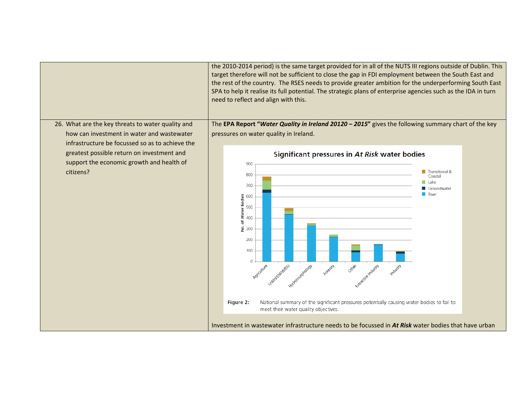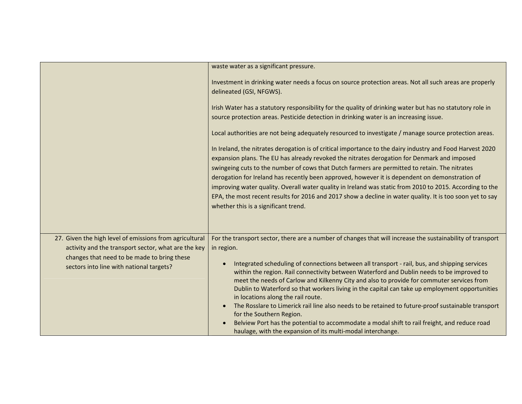|                                                                                                                                                                                                           | waste water as a significant pressure.                                                                                                                                                                                                                                                                                                                                                                                                                                                                                                                                                                                                                                       |
|-----------------------------------------------------------------------------------------------------------------------------------------------------------------------------------------------------------|------------------------------------------------------------------------------------------------------------------------------------------------------------------------------------------------------------------------------------------------------------------------------------------------------------------------------------------------------------------------------------------------------------------------------------------------------------------------------------------------------------------------------------------------------------------------------------------------------------------------------------------------------------------------------|
|                                                                                                                                                                                                           | Investment in drinking water needs a focus on source protection areas. Not all such areas are properly<br>delineated (GSI, NFGWS).                                                                                                                                                                                                                                                                                                                                                                                                                                                                                                                                           |
|                                                                                                                                                                                                           | Irish Water has a statutory responsibility for the quality of drinking water but has no statutory role in<br>source protection areas. Pesticide detection in drinking water is an increasing issue.                                                                                                                                                                                                                                                                                                                                                                                                                                                                          |
|                                                                                                                                                                                                           | Local authorities are not being adequately resourced to investigate / manage source protection areas.                                                                                                                                                                                                                                                                                                                                                                                                                                                                                                                                                                        |
|                                                                                                                                                                                                           | In Ireland, the nitrates derogation is of critical importance to the dairy industry and Food Harvest 2020<br>expansion plans. The EU has already revoked the nitrates derogation for Denmark and imposed<br>swingeing cuts to the number of cows that Dutch farmers are permitted to retain. The nitrates<br>derogation for Ireland has recently been approved, however it is dependent on demonstration of<br>improving water quality. Overall water quality in Ireland was static from 2010 to 2015. According to the<br>EPA, the most recent results for 2016 and 2017 show a decline in water quality. It is too soon yet to say<br>whether this is a significant trend. |
| 27. Given the high level of emissions from agricultural<br>activity and the transport sector, what are the key<br>changes that need to be made to bring these<br>sectors into line with national targets? | For the transport sector, there are a number of changes that will increase the sustainability of transport<br>in region.<br>Integrated scheduling of connections between all transport - rail, bus, and shipping services<br>within the region. Rail connectivity between Waterford and Dublin needs to be improved to<br>meet the needs of Carlow and Kilkenny City and also to provide for commuter services from                                                                                                                                                                                                                                                          |
|                                                                                                                                                                                                           | Dublin to Waterford so that workers living in the capital can take up employment opportunities<br>in locations along the rail route.<br>The Rosslare to Limerick rail line also needs to be retained to future-proof sustainable transport<br>for the Southern Region.<br>Belview Port has the potential to accommodate a modal shift to rail freight, and reduce road<br>haulage, with the expansion of its multi-modal interchange.                                                                                                                                                                                                                                        |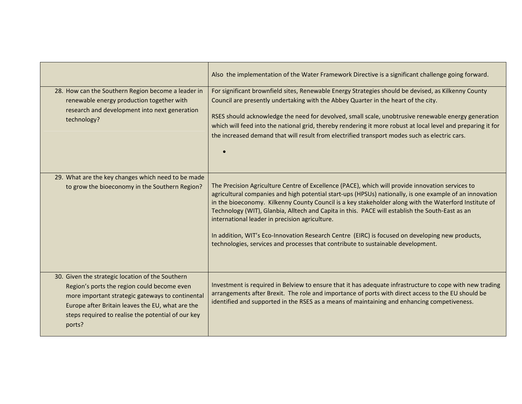|                                                                                                                                                                                                                                                                         | Also the implementation of the Water Framework Directive is a significant challenge going forward.                                                                                                                                                                                                                                                                                                                                                                                                                                                                                                                                                               |
|-------------------------------------------------------------------------------------------------------------------------------------------------------------------------------------------------------------------------------------------------------------------------|------------------------------------------------------------------------------------------------------------------------------------------------------------------------------------------------------------------------------------------------------------------------------------------------------------------------------------------------------------------------------------------------------------------------------------------------------------------------------------------------------------------------------------------------------------------------------------------------------------------------------------------------------------------|
| 28. How can the Southern Region become a leader in<br>renewable energy production together with<br>research and development into next generation<br>technology?                                                                                                         | For significant brownfield sites, Renewable Energy Strategies should be devised, as Kilkenny County<br>Council are presently undertaking with the Abbey Quarter in the heart of the city.<br>RSES should acknowledge the need for devolved, small scale, unobtrusive renewable energy generation<br>which will feed into the national grid, thereby rendering it more robust at local level and preparing it for<br>the increased demand that will result from electrified transport modes such as electric cars.                                                                                                                                                |
| 29. What are the key changes which need to be made<br>to grow the bioeconomy in the Southern Region?                                                                                                                                                                    | The Precision Agriculture Centre of Excellence (PACE), which will provide innovation services to<br>agricultural companies and high potential start-ups (HPSUs) nationally, is one example of an innovation<br>in the bioeconomy. Kilkenny County Council is a key stakeholder along with the Waterford Institute of<br>Technology (WIT), Glanbia, Alltech and Capita in this. PACE will establish the South-East as an<br>international leader in precision agriculture.<br>In addition, WIT's Eco-Innovation Research Centre (EIRC) is focused on developing new products,<br>technologies, services and processes that contribute to sustainable development. |
| 30. Given the strategic location of the Southern<br>Region's ports the region could become even<br>more important strategic gateways to continental<br>Europe after Britain leaves the EU, what are the<br>steps required to realise the potential of our key<br>ports? | Investment is required in Belview to ensure that it has adequate infrastructure to cope with new trading<br>arrangements after Brexit. The role and importance of ports with direct access to the EU should be<br>identified and supported in the RSES as a means of maintaining and enhancing competiveness.                                                                                                                                                                                                                                                                                                                                                    |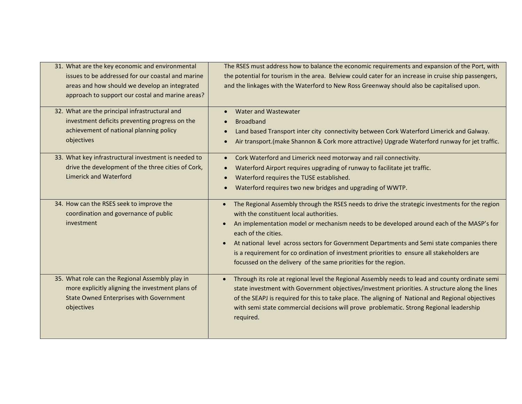| 31. What are the key economic and environmental<br>issues to be addressed for our coastal and marine<br>areas and how should we develop an integrated<br>approach to support our costal and marine areas? | The RSES must address how to balance the economic requirements and expansion of the Port, with<br>the potential for tourism in the area. Belview could cater for an increase in cruise ship passengers,<br>and the linkages with the Waterford to New Ross Greenway should also be capitalised upon.                                                                                                                                                                                                                                                               |
|-----------------------------------------------------------------------------------------------------------------------------------------------------------------------------------------------------------|--------------------------------------------------------------------------------------------------------------------------------------------------------------------------------------------------------------------------------------------------------------------------------------------------------------------------------------------------------------------------------------------------------------------------------------------------------------------------------------------------------------------------------------------------------------------|
| 32. What are the principal infrastructural and<br>investment deficits preventing progress on the<br>achievement of national planning policy<br>objectives                                                 | Water and Wastewater<br>$\bullet$<br><b>Broadband</b><br>$\bullet$<br>Land based Transport inter city connectivity between Cork Waterford Limerick and Galway.<br>$\bullet$<br>Air transport. (make Shannon & Cork more attractive) Upgrade Waterford runway for jet traffic.<br>$\bullet$                                                                                                                                                                                                                                                                         |
| 33. What key infrastructural investment is needed to<br>drive the development of the three cities of Cork,<br><b>Limerick and Waterford</b>                                                               | Cork Waterford and Limerick need motorway and rail connectivity.<br>$\bullet$<br>Waterford Airport requires upgrading of runway to facilitate jet traffic.<br>$\bullet$<br>Waterford requires the TUSE established.<br>$\bullet$<br>Waterford requires two new bridges and upgrading of WWTP.<br>$\bullet$                                                                                                                                                                                                                                                         |
| 34. How can the RSES seek to improve the<br>coordination and governance of public<br>investment                                                                                                           | The Regional Assembly through the RSES needs to drive the strategic investments for the region<br>$\bullet$<br>with the constituent local authorities.<br>An implementation model or mechanism needs to be developed around each of the MASP's for<br>$\bullet$<br>each of the cities.<br>At national level across sectors for Government Departments and Semi state companies there<br>$\bullet$<br>is a requirement for co ordination of investment priorities to ensure all stakeholders are<br>focussed on the delivery of the same priorities for the region. |
| 35. What role can the Regional Assembly play in<br>more explicitly aligning the investment plans of<br><b>State Owned Enterprises with Government</b><br>objectives                                       | Through its role at regional level the Regional Assembly needs to lead and county ordinate semi<br>state investment with Government objectives/investment priorities. A structure along the lines<br>of the SEAPJ is required for this to take place. The aligning of National and Regional objectives<br>with semi state commercial decisions will prove problematic. Strong Regional leadership<br>required.                                                                                                                                                     |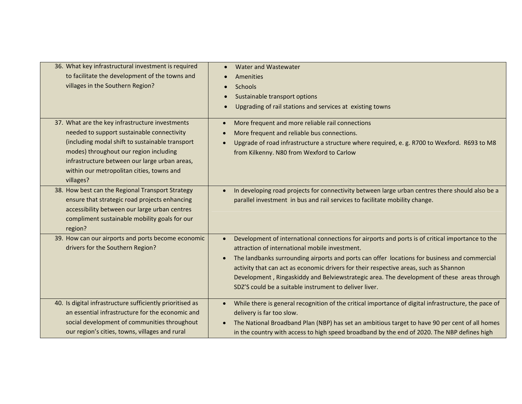| 36. What key infrastructural investment is required<br>to facilitate the development of the towns and<br>villages in the Southern Region?                                                                                                                                                             | Water and Wastewater<br>Amenities<br><b>Schools</b><br>Sustainable transport options<br>Upgrading of rail stations and services at existing towns                                                                                                                                                                                                                                                                                                                                                                             |
|-------------------------------------------------------------------------------------------------------------------------------------------------------------------------------------------------------------------------------------------------------------------------------------------------------|-------------------------------------------------------------------------------------------------------------------------------------------------------------------------------------------------------------------------------------------------------------------------------------------------------------------------------------------------------------------------------------------------------------------------------------------------------------------------------------------------------------------------------|
| 37. What are the key infrastructure investments<br>needed to support sustainable connectivity<br>(including modal shift to sustainable transport<br>modes) throughout our region including<br>infrastructure between our large urban areas,<br>within our metropolitan cities, towns and<br>villages? | More frequent and more reliable rail connections<br>$\bullet$<br>More frequent and reliable bus connections.<br>Upgrade of road infrastructure a structure where required, e.g. R700 to Wexford. R693 to M8<br>$\bullet$<br>from Kilkenny. N80 from Wexford to Carlow                                                                                                                                                                                                                                                         |
| 38. How best can the Regional Transport Strategy<br>ensure that strategic road projects enhancing<br>accessibility between our large urban centres<br>compliment sustainable mobility goals for our<br>region?                                                                                        | In developing road projects for connectivity between large urban centres there should also be a<br>$\bullet$<br>parallel investment in bus and rail services to facilitate mobility change.                                                                                                                                                                                                                                                                                                                                   |
| 39. How can our airports and ports become economic<br>drivers for the Southern Region?                                                                                                                                                                                                                | Development of international connections for airports and ports is of critical importance to the<br>$\bullet$<br>attraction of international mobile investment.<br>The landbanks surrounding airports and ports can offer locations for business and commercial<br>$\bullet$<br>activity that can act as economic drivers for their respective areas, such as Shannon<br>Development, Ringaskiddy and Belviewstrategic area. The development of these areas through<br>SDZ'S could be a suitable instrument to deliver liver. |
| 40. Is digital infrastructure sufficiently prioritised as<br>an essential infrastructure for the economic and<br>social development of communities throughout<br>our region's cities, towns, villages and rural                                                                                       | While there is general recognition of the critical importance of digital infrastructure, the pace of<br>$\bullet$<br>delivery is far too slow.<br>The National Broadband Plan (NBP) has set an ambitious target to have 90 per cent of all homes<br>in the country with access to high speed broadband by the end of 2020. The NBP defines high                                                                                                                                                                               |